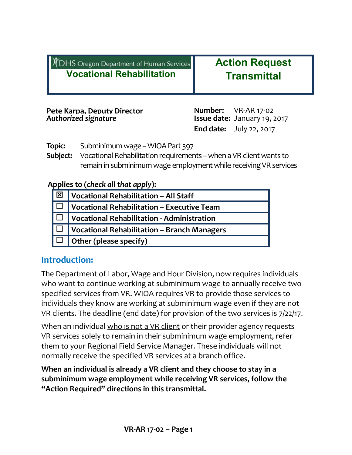| <b>DHS Oregon Department of Human Services</b>             | <b>Action Request</b>                                                                        |  |
|------------------------------------------------------------|----------------------------------------------------------------------------------------------|--|
| <b>Vocational Rehabilitation</b>                           | <b>Transmittal</b>                                                                           |  |
| Pete Karpa. Deputy Director<br><b>Authorized signature</b> | <b>Number:</b> VR-AR 17-02<br>Issue date: January 19, 2017<br><b>End date:</b> July 22, 2017 |  |

**Topic:** Subminimum wage – WIOA Part 397

**Subject:** Vocational Rehabilitation requirements - when a VR client wants to remain in subminimum wage employment while receiving VR services

#### **Applies to (***check all that apply***):**

| 区  | Vocational Rehabilitation - All Staff                                               |
|----|-------------------------------------------------------------------------------------|
| ▏Ѽ | Vocational Rehabilitation - Executive Team                                          |
|    | $ \hspace{0.15cm} \Box \hspace{0.15cm} $ Vocational Rehabilitation - Administration |
|    | $ \hspace{0.1cm}\Box\hspace{0.1cm} $ Vocational Rehabilitation – Branch Managers    |
|    | $\Box$ Other (please specify)                                                       |

## **Introduction:**

The Department of Labor, Wage and Hour Division, now requires individuals who want to continue working at subminimum wage to annually receive two specified services from VR. WIOA requires VR to provide those services to individuals they know are working at subminimum wage even if they are not VR clients. The deadline (end date) for provision of the two services is 7/22/17.

When an individual who is not a VR client or their provider agency requests VR services solely to remain in their subminimum wage employment, refer them to your Regional Field Service Manager. These individuals will not normally receive the specified VR services at a branch office.

**When an individual is already a VR client and they choose to stay in a subminimum wage employment while receiving VR services, follow the "Action Required" directions in this transmittal.**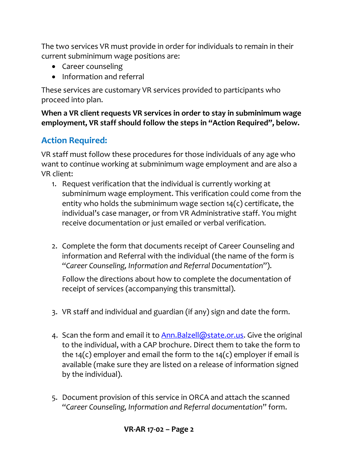The two services VR must provide in order for individuals to remain in their current subminimum wage positions are:

- Career counseling
- Information and referral

These services are customary VR services provided to participants who proceed into plan.

**When a VR client requests VR services in order to stay in subminimum wage employment, VR staff should follow the steps in "Action Required" , below.**

# **Action Required:**

VR staff must follow these procedures for those individuals of any age who want to continue working at subminimum wage employment and are also a VR client:

- 1. Request verification that the individual is currently working at subminimum wage employment. This verification could come from the entity who holds the subminimum wage section  $14(c)$  certificate, the individual's case manager, or from VR Administrative staff. You might receive documentation or just emailed or verbal verification.
- 2. Complete the form that documents receipt of Career Counseling and information and Referral with the individual (the name of the form is "*Career Counseling, Information and Referral Documentation*").

Follow the directions about how to complete the documentation of receipt of services (accompanying this transmittal).

- 3. VR staff and individual and guardian (if any) sign and date the form.
- 4. Scan the form and email it to **Ann. Balzell@state.or.us**. Give the original to the individual, with a CAP brochure. Direct them to take the form to the 14(c) employer and email the form to the 14(c) employer if email is available (make sure they are listed on a release of information signed by the individual).
- 5. Document provision of this service in ORCA and attach the scanned "*Career Counseling, Information and Referral documentation*" form.